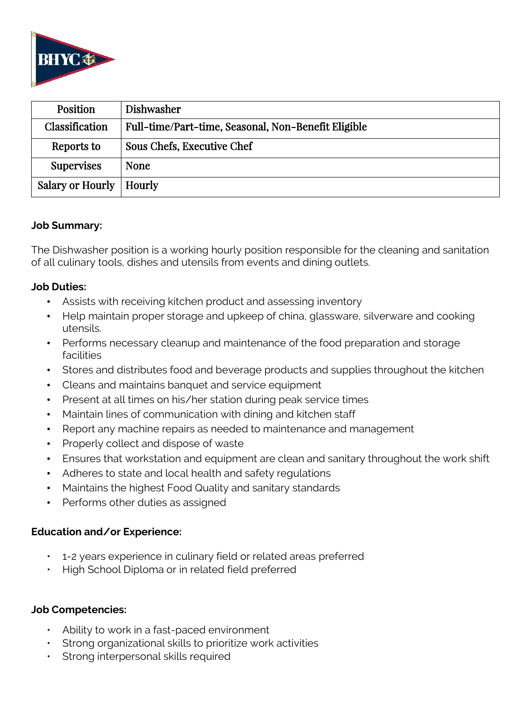

| <b>Position</b>           | Dishwasher                                          |
|---------------------------|-----------------------------------------------------|
| Classification            | Full-time/Part-time, Seasonal, Non-Benefit Eligible |
| Reports to                | Sous Chefs, Executive Chef                          |
| <b>Supervises</b>         | <b>None</b>                                         |
| Salary or Hourly   Hourly |                                                     |

### **Job Summary:**

The Dishwasher position is a working hourly position responsible for the cleaning and sanitation of all culinary tools, dishes and utensils from events and dining outlets.

## **Job Duties:**

- Assists with receiving kitchen product and assessing inventory
- Help maintain proper storage and upkeep of china, glassware, silverware and cooking utensils.
- Performs necessary cleanup and maintenance of the food preparation and storage facilities
- Stores and distributes food and beverage products and supplies throughout the kitchen
- Cleans and maintains banquet and service equipment
- Present at all times on his/her station during peak service times
- Maintain lines of communication with dining and kitchen staff
- Report any machine repairs as needed to maintenance and management
- Properly collect and dispose of waste
- Ensures that workstation and equipment are clean and sanitary throughout the work shift
- Adheres to state and local health and safety regulations
- Maintains the highest Food Quality and sanitary standards
- Performs other duties as assigned

## **Education and/or Experience:**

- 1-2 years experience in culinary field or related areas preferred
- High School Diploma or in related field preferred

## **Job Competencies:**

- Ability to work in a fast-paced environment
- Strong organizational skills to prioritize work activities
- Strong interpersonal skills required